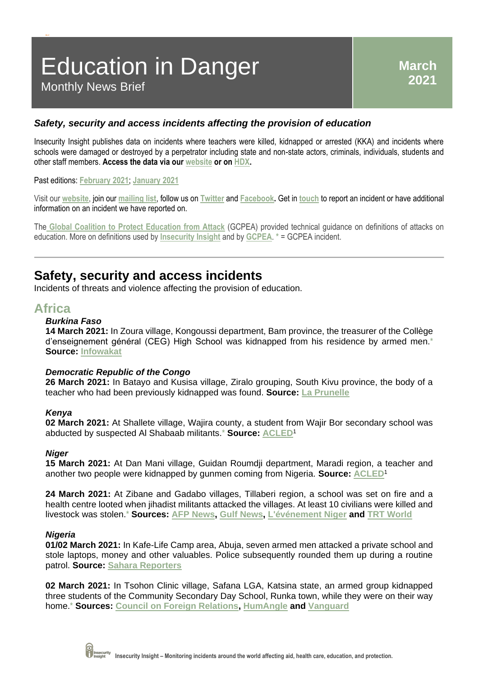# Education in Danger Monthly News Brief

### *Safety, security and access incidents affecting the provision of education*

Insecurity Insight publishes data on incidents where teachers were killed, kidnapped or arrested (KKA) and incidents where schools were damaged or destroyed by a perpetrator including state and non-state actors, criminals, individuals, students and other staff members. **Access the data via our [website](http://insecurityinsight.org/projects/education-in-danger/education-in-danger-monthly-news-brief) or o[n HDX.](https://data.humdata.org/dataset/sind-education-in-danger-monthly-news-briefs-dataset)** 

### Past editions: **[February 2021](https://bit.ly/312oj6u)**; **[January 2021](https://bit.ly/2NC3ITa)**

Visit our **[website](http://insecurityinsight.org/)**, join our **[mailing list](http://eepurl.com/gPFd0v)**, follow us on **[Twitter](https://twitter.com/InsecurityInsig)** and **[Facebook.](https://www.facebook.com/InsecInsight/)** Get in **[touch](mailto:info@insecurityinsight.org)** to report an incident or have additional information on an incident we have reported on.

The **[Global Coalition to Protect Education from Attack](http://www.protectingeducation.org/)** (GCPEA) provided technical guidance on definitions of attacks on education. More on definitions used by **[Insecurity Insight](http://insecurityinsight.org/methodology-and-definitions#section_education_in_danger)** and by **[GCPEA](https://protectingeducation.org/the-problem/what-is-an-attack-on-education/)**. **\*** = GCPEA incident.

### **Safety, security and access incidents**

Incidents of threats and violence affecting the provision of education.

### **Africa**

**Ok it'**

### *Burkina Faso*

**14 March 2021:** In Zoura village, Kongoussi department, Bam province, the treasurer of the Collège d'enseignement général (CEG) High School was kidnapped from his residence by armed men.**\* Source: [Infowakat](https://infowakat.net/bam-le-tresorier-du-ceg-de-zoura-enleve-par-des-membres-de-groupes-armes/)**

### *Democratic Republic of the Congo*

**26 March 2021:** In Batayo and Kusisa village, Ziralo grouping, South Kivu province, the body of a teacher who had been previously kidnapped was found. **Source: [La Prunelle](https://laprunellerdc.info/kalehe-un-enseignant-retrouve-mort-un-jour-apres-sa-disparition/)**

### *Kenya*

**02 March 2021:** At Shallete village, Wajira county, a student from Wajir Bor secondary school was abducted by suspected Al Shabaab militants.**\* Source: [ACLED](https://acleddata.com/data-export-tool/)**<sup>1</sup>

### *Niger*

**15 March 2021:** At Dan Mani village, Guidan Roumdji department, Maradi region, a teacher and another two people were kidnapped by gunmen coming from Nigeria. **Source: [ACLED](https://acleddata.com/data-export-tool/)**<sup>1</sup>

**24 March 2021:** At Zibane and Gadabo villages, Tillaberi region, a school was set on fire and a health centre looted when jihadist militants attacked the villages. At least 10 civilians were killed and livestock was stolen.**\* Sources: [AFP News,](https://www.africanews.com/2021/03/25/at-least-11-killed-in-niger-attacks-and-clasrooms-set-on-fire/) [Gulf News,](https://gulfnews.com/world/africa/niger-10-killed-in-new-attacks-in-south-of-country-1.1616624061646) [L'événement Niger](https://levenementniger.com/niger-au-moins-10-personnes-tuees-dans-une-nouvelle-attaque/?amp) and [TRT World](https://www.trtworld.com/africa/several-dead-as-armed-bandits-attack-niger-s-tillaberi-region-45299)**

### *Nigeria*

**01/02 March 2021:** In Kafe-Life Camp area, Abuja, seven armed men attacked a private school and stole laptops, money and other valuables. Police subsequently rounded them up during a routine patrol. **Source: [Sahara Reporters](http://saharareporters.com/2021/03/03/seven-man-robbery-gang-attacks-private-school-abuja)**

**02 March 2021:** In Tsohon Clinic village, Safana LGA, Katsina state, an armed group kidnapped three students of the Community Secondary Day School, Runka town, while they were on their way home.**\* Sources: [Council on Foreign Relations,](https://www.cfr.org/blog/nigeria-security-tracker-weekly-update-february-27-march-5) [HumAngle](https://humangle.ng/terrorists-burn-zamfara-town-abduct-60/) and [Vanguard](https://www.vanguardngr.com/2021/03/again-three-students-kidnapped-in-katsina/)**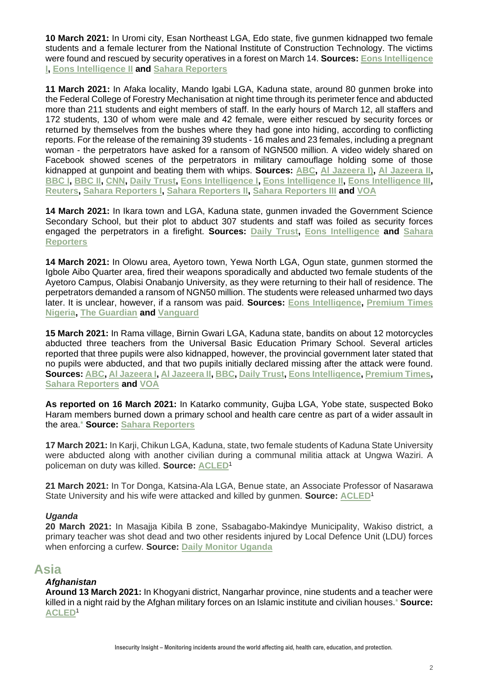**10 March 2021:** In Uromi city, Esan Northeast LGA, Edo state, five gunmen kidnapped two female students and a female lecturer from the National Institute of Construction Technology. The victims were found and rescued by security operatives in a forest on March 14. **Sources: [Eons Intelligence](https://eonsintelligence.com/details/1380972414/abducted-students-and-staff-in-edo-state-regain-freedom-657357229)  [I,](https://eonsintelligence.com/details/1380972414/abducted-students-and-staff-in-edo-state-regain-freedom-657357229) [Eons Intelligence II](https://eonsintelligence.com/details/crime-intelligence-10948010/gunmen-kidnap-two-oou-female-students-1915997761) and [Sahara Reporters](http://saharareporters.com/2021/03/11/bandits-kidnap-two-female-students-worker-edo-national-institute-technology)**

**11 March 2021:** In Afaka locality, Mando Igabi LGA, Kaduna state, around 80 gunmen broke into the Federal College of Forestry Mechanisation at night time through its perimeter fence and abducted more than 211 students and eight members of staff. In the early hours of March 12, all staffers and 172 students, 130 of whom were male and 42 female, were either rescued by security forces or returned by themselves from the bushes where they had gone into hiding, according to conflicting reports. For the release of the remaining 39 students - 16 males and 23 females, including a pregnant woman - the perpetrators have asked for a ransom of NGN500 million. A video widely shared on Facebook showed scenes of the perpetrators in military camouflage holding some of those kidnapped at gunpoint and beating them with whips. **Sources: [ABC,](https://abcnews.go.com/International/wireStory/teachers-abducted-latest-nigeria-school-kidnapping-76473056) [Al Jazeera I\),](https://www.aljazeera.com/news/2021/3/13/nigeria-raises-number-of-missing-students-after-school-raid-to-39) [Al Jazeera II,](https://www.aljazeera.com/news/2021/3/16/abducted-students-in-nigerias-kaduna-safe-governor) [BBC I,](https://www.bbc.com/news/world-africa-56373690) [BBC II,](https://www.bbc.com/news/world-africa-56404673) [CNN,](https://edition.cnn.com/2021/03/14/africa/kidnapped-kaduna-nigeria-students-video-intl/index.html) [Daily Trust,](https://dailytrust.com/breaking-bandits-storm-primary-school-in-kaduna-abduct-teachers-pupils) [Eons Intelligence I,](https://eonsintelligence.com/details/1281712497/breaking-gunmen-invade-school-in-kaduna-abduct-students-368529822) [Eons Intelligence II,](https://eonsintelligence.com/details/news-108923456/kaduna-students-kidnap-army-rescues-172-students-and-eight-staff-several-others-missing-700341491) [Eons Intelligence III,](https://eonsintelligence.com/details/crime-intelligence-10948010/39-students-of-federal-college-of-forestry-mechanization-beg-federal-government-to-rescue-them-as-abductors-demand-n500-million-1380848400) [Reuters,](https://www.reuters.com/article/uk-nigeria-security-kidnapping-idUSKBN2B60EG?taid=604e60bdb7d77200018e4f00&utm_campaign=trueAnthem:+Trending+Content&utm_medium=trueAnthem&utm_source=twitter) [Sahara Reporters I,](http://saharareporters.com/2021/03/14/breaking-bandits-invade-another-school-kaduna) [Sahara Reporters II,](http://saharareporters.com/2021/03/12/exposed-how-nigerian-army-kaduna-government-lied-about-rescuing-172-abducted-students-8) [Sahara Reporters III](http://saharareporters.com/2021/03/12/updated-kidnappers-storm-kaduna-school-abduct-%E2%80%98only-female-students%E2%80%99) and [VOA](https://www.voanews.com/africa/authorities-investigate-kidnapping-three-teachers-northern-nigeria)**

**14 March 2021:** In Ikara town and LGA, Kaduna state, gunmen invaded the Government Science Secondary School, but their plot to abduct 307 students and staff was foiled as security forces engaged the perpetrators in a firefight. **Sources: [Daily Trust,](https://dailytrust.com/breaking-bandits-storm-primary-school-in-kaduna-abduct-teachers-pupils) [Eons Intelligence](https://eonsintelligence.com/details/news-108923456/mass-school-kidnappings-army-foil-bandits-attempt-to-invade-another-school-1187404840) and [Sahara](http://saharareporters.com/2021/03/14/breaking-bandits-invade-another-school-kaduna)  [Reporters](http://saharareporters.com/2021/03/14/breaking-bandits-invade-another-school-kaduna)**

**14 March 2021:** In Olowu area, Ayetoro town, Yewa North LGA, Ogun state, gunmen stormed the Igbole Aibo Quarter area, fired their weapons sporadically and abducted two female students of the Ayetoro Campus, Olabisi Onabanjo University, as they were returning to their hall of residence. The perpetrators demanded a ransom of NGN50 million. The students were released unharmed two days later. It is unclear, however, if a ransom was paid. **Sources: [Eons Intelligence,](https://eonsintelligence.com/details/crime-intelligence-10948010/gunmen-kidnap-two-oou-female-students-1915997761) [Premium Times](https://www.premiumtimesng.com/regional/ssouth-west/449350-kidnapped-university-students-regain-freedom.html)  [Nigeria,](https://www.premiumtimesng.com/regional/ssouth-west/449350-kidnapped-university-students-regain-freedom.html) [The Guardian](https://guardian.ng/news/gunmen-kidnap-two-female-students-of-oou-demand-n50m-ransom/) and [Vanguard](https://www.vanguardngr.com/2021/03/bandits-invade-another-kaduna-school-kidnap-3-teachers/)** 

**15 March 2021:** In Rama village, Birnin Gwari LGA, Kaduna state, bandits on about 12 motorcycles abducted three teachers from the Universal Basic Education Primary School. Several articles reported that three pupils were also kidnapped, however, the provincial government later stated that no pupils were abducted, and that two pupils initially declared missing after the attack were found. **Sources: [ABC,](https://abcnews.go.com/International/wireStory/teachers-abducted-latest-nigeria-school-kidnapping-76473056) [Al Jazeera I,](https://www.aljazeera.com/news/2021/3/16/abducted-students-in-nigerias-kaduna-safe-governor) [Al Jazeera II,](https://www.aljazeera.com/news/2021/3/15/gunmen-kidnap-primary-school-pupils-in-nigerias-northwest-kaduna) [BBC,](https://www.bbc.com/news/world-africa-56404673) [Daily Trust,](https://dailytrust.com/breaking-bandits-storm-primary-school-in-kaduna-abduct-teachers-pupils) [Eons Intelligence,](https://eonsintelligence.com/details/2109205773/breaking-bandits-invade-primary-school-in-kaduna-abduct-students-and-teachers-2049341902) [Premium Times,](https://allafrica.com/stories/202103160083.html) [Sahara Reporters](http://saharareporters.com/2021/03/15/fresh-abduction-three-kaduna-primary-school-pupils-escape-teachers-still-missing) and [VOA](https://www.voanews.com/africa/authorities-investigate-kidnapping-three-teachers-northern-nigeria)**

**As reported on 16 March 2021:** In Katarko community, Gujba LGA, Yobe state, suspected Boko Haram members burned down a primary school and health care centre as part of a wider assault in the area.**\* Source: [Sahara Reporters](http://saharareporters.com/2021/03/16/boko-haram-attacks-yobe-community-burns-school-health-centre)**

**17 March 2021:** In Karji, Chikun LGA, Kaduna, state, two female students of Kaduna State University were abducted along with another civilian during a communal militia attack at Ungwa Waziri. A policeman on duty was killed. **Source: [ACLED](https://acleddata.com/data-export-tool/)**<sup>1</sup>

**21 March 2021:** In Tor Donga, Katsina-Ala LGA, Benue state, an Associate Professor of Nasarawa State University and his wife were attacked and killed by gunmen. **Source: [ACLED](https://acleddata.com/data-export-tool/)**<sup>1</sup>

### *Uganda*

**20 March 2021:** In Masajja Kibila B zone, Ssabagabo-Makindye Municipality, Wakiso district, a primary teacher was shot dead and two other residents injured by Local Defence Unit (LDU) forces when enforcing a curfew. **Source: [Daily Monitor Uganda](https://www.monitor.co.ug/uganda/news/national/ldu-recruit-shoots-teacher-dead-while-enforcing-curfew-3331818)**

### **Asia**

### *Afghanistan*

**Around 13 March 2021:** In Khogyani district, Nangarhar province, nine students and a teacher were killed in a night raid by the Afghan military forces on an Islamic institute and civilian houses.**\* Source: [ACLED](https://acleddata.com/data-export-tool/)**1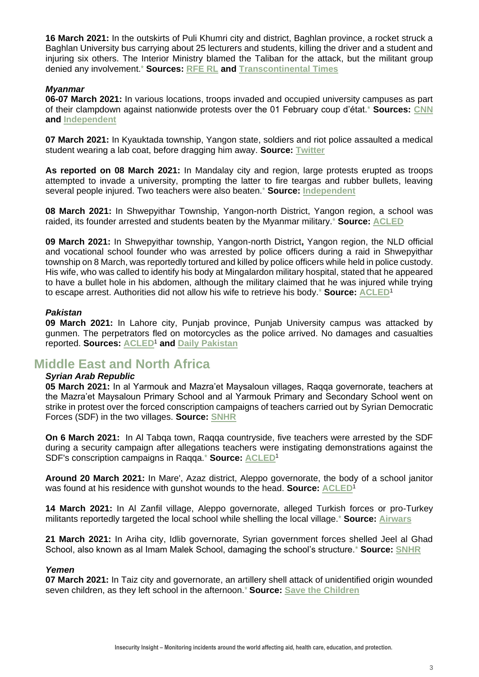**16 March 2021:** In the outskirts of Puli Khumri city and district, Baghlan province, a rocket struck a Baghlan University bus carrying about 25 lecturers and students, killing the driver and a student and injuring six others. The Interior Ministry blamed the Taliban for the attack, but the militant group denied any involvement.**\* Sources: [RFE RL](https://gandhara.rferl.org/a/university-students-targeted-in-latest-violence-in-afghanistan/31153489.html) and [Transcontinental Times](https://www.transcontinentaltimes.com/two-killed-in-baghlan-university-bus-attack-in-afghanistan.html)**

### *Myanmar*

**06-07 March 2021:** In various locations, troops invaded and occupied university campuses as part of their clampdown against nationwide protests over the 01 February coup d'état.**\* Sources: [CNN](https://edition.cnn.com/2021/03/08/asia/myanmar-military-hospitals-mass-strike-intl-hnk/index.html) and [Independent](https://www.independent.co.uk/news/world/asia/myanmar-hospital-university-protest-b1813914.html)**

**07 March 2021:** In Kyauktada township, Yangon state, soldiers and riot police assaulted a medical student wearing a lab coat, before dragging him away. **Source: [Twitter](https://mobile.twitter.com/shafiur/status/1368441224655482881)**

**As reported on 08 March 2021:** In Mandalay city and region, large protests erupted as troops attempted to invade a university, prompting the latter to fire teargas and rubber bullets, leaving several people injured. Two teachers were also beaten.**\* Source: [Independent](https://www.independent.co.uk/news/world/asia/myanmar-hospital-university-protest-b1813914.html)**

**08 March 2021:** In Shwepyithar Township, Yangon-north District, Yangon region, a school was raided, its founder arrested and students beaten by the Myanmar military.**\* Source: [ACLED](https://acleddata.com/data-export-tool/)**

**09 March 2021:** In Shwepyithar township, Yangon-north District**,** Yangon region, the NLD official and vocational school founder who was arrested by police officers during a raid in Shwepyithar township on 8 March, was reportedly tortured and killed by police officers while held in police custody. His wife, who was called to identify his body at Mingalardon military hospital, stated that he appeared to have a bullet hole in his abdomen, although the military claimed that he was injured while trying to escape arrest. Authorities did not allow his wife to retrieve his body.**\* Source: [ACLED](https://acleddata.com/data-export-tool/)**<sup>1</sup>

### *Pakistan*

**09 March 2021:** In Lahore city, Punjab province, Punjab University campus was attacked by gunmen. The perpetrators fled on motorcycles as the police arrived. No damages and casualties reported. **Sources: [ACLED](https://acleddata.com/data-export-tool/)**<sup>1</sup> **and [Daily Pakistan](https://en.dailypakistan.com.pk/09-Mar-2021/gunmen-open-fire-at-punjab-university)**

### **Middle East and North Africa**

### *Syrian Arab Republic*

**05 March 2021:** In al Yarmouk and Mazra'et Maysaloun villages, Raqqa governorate, teachers at the Mazra'et Maysaloun Primary School and al Yarmouk Primary and Secondary School went on strike in protest over the forced conscription campaigns of teachers carried out by Syrian Democratic Forces (SDF) in the two villages. **Source: [SNHR](https://news.sn4hr.org/2021/03/05/strike-by-two-schools-in-al-yarmouk-and-mazraet-maysaloun-villages-over-sdfs-conscription-campaigns-against-teachers/)**

**On 6 March 2021:** In Al Tabqa town, Raqqa countryside, five teachers were arrested by the SDF during a security campaign after allegations teachers were instigating demonstrations against the SDF's conscription campaigns in Raqqa.**\* Source: [ACLED](https://acleddata.com/data-export-tool/)**<sup>1</sup>

**Around 20 March 2021:** In Mare', Azaz district, Aleppo governorate, the body of a school janitor was found at his residence with gunshot wounds to the head. **Source: [ACLED](https://acleddata.com/data-export-tool/)**<sup>1</sup>

**14 March 2021:** In Al Zanfil village, Aleppo governorate, alleged Turkish forces or pro-Turkey militants reportedly targeted the local school while shelling the local village.**\* Source: [Airwars](https://airwars.org/civilian-casualties/ts466-march-14-2021/)**

**21 March 2021:** In Ariha city, Idlib governorate, Syrian government forces shelled Jeel al Ghad School, also known as al Imam Malek School, damaging the school's structure.**\* Source: [SNHR](https://news.sn4hr.org/2021/03/22/damage-to-a-school-in-ariha-city-in-idlib-suburbs-caused-by-syrian-regime-forces-shelling-on-march-21/)**

### *Yemen*

**07 March 2021:** In Taiz city and governorate, an artillery shell attack of unidentified origin wounded seven children, as they left school in the afternoon.**\* Source: [Save the Children](https://www.savethechildren.org/us/about-us/media-and-news/2021-press-releases/yemen-war-seven-injured-leaving-school)**